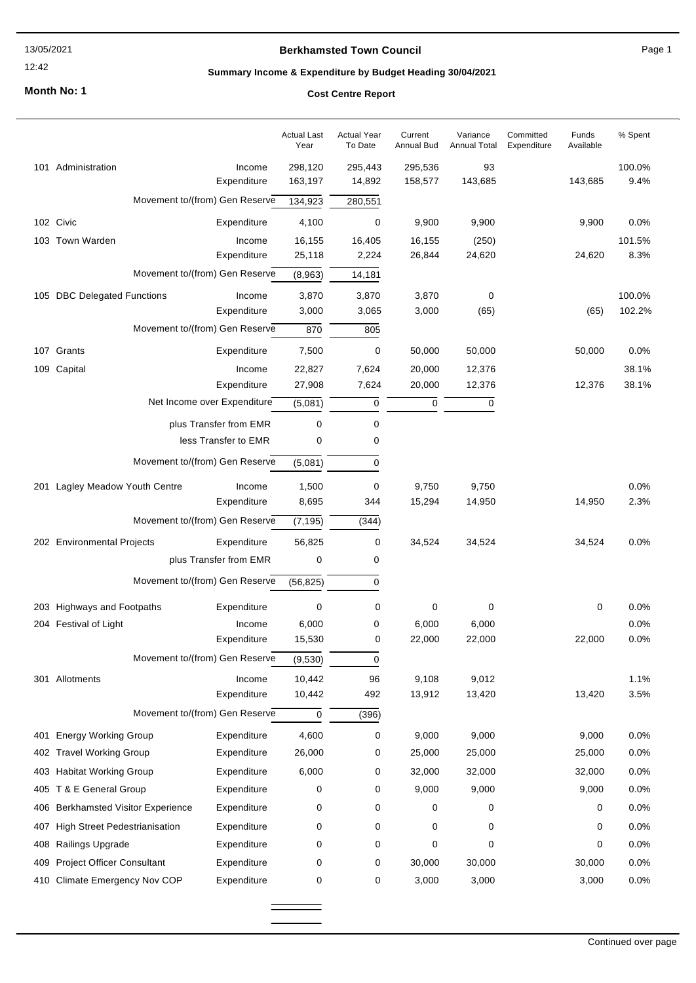# 12:42

## **Berkhamsted Town Council**

Page 1

## **Summary Income & Expenditure by Budget Heading 30/04/2021**

**Month No: 1**

# **Cost Centre Report**

|     |                                                                            |                            | <b>Actual Last</b><br>Year | <b>Actual Year</b><br>To Date | Current<br><b>Annual Bud</b> | Variance<br><b>Annual Total</b> | Committed<br>Expenditure | Funds<br>Available | % Spent        |
|-----|----------------------------------------------------------------------------|----------------------------|----------------------------|-------------------------------|------------------------------|---------------------------------|--------------------------|--------------------|----------------|
|     | 101 Administration                                                         | Income<br>Expenditure      | 298,120<br>163,197         | 295,443<br>14,892             | 295,536<br>158,577           | 93<br>143,685                   |                          | 143,685            | 100.0%<br>9.4% |
|     | Movement to/(from) Gen Reserve                                             |                            | 134,923                    | 280,551                       |                              |                                 |                          |                    |                |
|     | 102 Civic                                                                  | Expenditure                | 4,100                      | 0                             | 9,900                        | 9,900                           |                          | 9,900              | 0.0%           |
|     | 103 Town Warden                                                            | Income                     | 16,155                     | 16,405                        | 16,155                       | (250)                           |                          |                    | 101.5%         |
|     |                                                                            | Expenditure                | 25,118                     | 2,224                         | 26,844                       | 24,620                          |                          | 24,620             | 8.3%           |
|     | Movement to/(from) Gen Reserve                                             |                            | (8,963)                    | 14,181                        |                              |                                 |                          |                    |                |
|     | 105 DBC Delegated Functions                                                | Income                     | 3,870                      | 3,870                         | 3,870                        | 0                               |                          |                    | 100.0%         |
|     | Expenditure<br>Movement to/(from) Gen Reserve                              |                            | 3,000<br>870               | 3,065                         | 3,000                        | (65)                            |                          | (65)               | 102.2%         |
|     |                                                                            |                            |                            | 805                           |                              |                                 |                          |                    |                |
|     | 107 Grants                                                                 | Expenditure                | 7,500                      | 0                             | 50,000                       | 50,000                          |                          | 50,000             | 0.0%           |
|     | 109 Capital                                                                | Income<br>Expenditure      | 22,827<br>27,908           | 7,624<br>7,624                | 20,000<br>20,000             | 12,376<br>12,376                |                          | 12,376             | 38.1%<br>38.1% |
|     | Net Income over Expenditure                                                | (5,081)                    | $\mathbf 0$                | $\mathbf 0$                   | 0                            |                                 |                          |                    |                |
|     | plus Transfer from EMR                                                     | 0                          | 0                          |                               |                              |                                 |                          |                    |                |
|     | less Transfer to EMR                                                       | 0                          | 0                          |                               |                              |                                 |                          |                    |                |
|     | Movement to/(from) Gen Reserve<br>(5,081)                                  |                            |                            | 0                             |                              |                                 |                          |                    |                |
|     | 201 Lagley Meadow Youth Centre                                             | Income                     | 1,500                      | 0                             | 9,750                        | 9,750                           |                          |                    | 0.0%           |
|     |                                                                            | Expenditure                | 8,695                      | 344                           | 15,294                       | 14,950                          |                          | 14,950             | 2.3%           |
|     | Movement to/(from) Gen Reserve<br>(7, 195)                                 |                            |                            | (344)                         |                              |                                 |                          |                    |                |
|     | 202 Environmental Projects                                                 | Expenditure                | 56,825                     | 0                             | 34,524                       | 34,524                          |                          | 34,524             | 0.0%           |
|     | plus Transfer from EMR<br>0<br>Movement to/(from) Gen Reserve<br>(56, 825) |                            |                            | 0                             |                              |                                 |                          |                    |                |
|     |                                                                            |                            |                            | 0                             |                              |                                 |                          |                    |                |
|     | 203 Highways and Footpaths                                                 | Expenditure                | 0                          | 0                             | 0                            | 0                               |                          | 0                  | 0.0%           |
|     | 204 Festival of Light                                                      | Income                     | 6,000                      | 0                             | 6,000                        | 6,000                           |                          |                    | 0.0%           |
|     |                                                                            | Expenditure                | 15,530                     | 0                             | 22,000                       | 22,000                          |                          | 22,000             | 0.0%           |
|     | Movement to/(from) Gen Reserve                                             |                            | (9,530)                    | 0                             |                              |                                 |                          |                    |                |
|     | 301 Allotments                                                             | Income                     | 10,442                     | 96                            | 9,108                        | 9,012                           |                          |                    | 1.1%           |
|     |                                                                            | Expenditure                | 10,442<br>0                | 492                           | 13,912                       | 13,420                          |                          | 13,420             | 3.5%           |
|     | Movement to/(from) Gen Reserve                                             |                            |                            | (396)                         |                              |                                 |                          |                    |                |
| 401 | <b>Energy Working Group</b>                                                | Expenditure                | 4,600                      | 0                             | 9,000                        | 9,000                           |                          | 9,000              | 0.0%           |
|     | 402 Travel Working Group                                                   | Expenditure                | 26,000                     | 0                             | 25,000                       | 25,000                          |                          | 25,000             | 0.0%           |
|     | 403 Habitat Working Group                                                  | Expenditure                | 6,000                      | 0                             | 32,000                       | 32,000                          |                          | 32,000             | 0.0%           |
|     | 405 T & E General Group<br>406 Berkhamsted Visitor Experience              | Expenditure<br>Expenditure | 0<br>0                     | 0<br>0                        | 9,000<br>0                   | 9,000<br>0                      |                          | 9,000<br>0         | 0.0%<br>0.0%   |
|     | 407 High Street Pedestrianisation                                          | Expenditure                | 0                          | 0                             | 0                            | 0                               |                          | 0                  | 0.0%           |
| 408 | Railings Upgrade                                                           | Expenditure                | 0                          | 0                             | 0                            | 0                               |                          | 0                  | 0.0%           |
|     | 409 Project Officer Consultant                                             | Expenditure                | 0                          | 0                             | 30,000                       | 30,000                          |                          | 30,000             | 0.0%           |
|     | 410 Climate Emergency Nov COP                                              | Expenditure                | 0                          | 0                             | 3,000                        | 3,000                           |                          | 3,000              | 0.0%           |
|     |                                                                            |                            |                            |                               |                              |                                 |                          |                    |                |